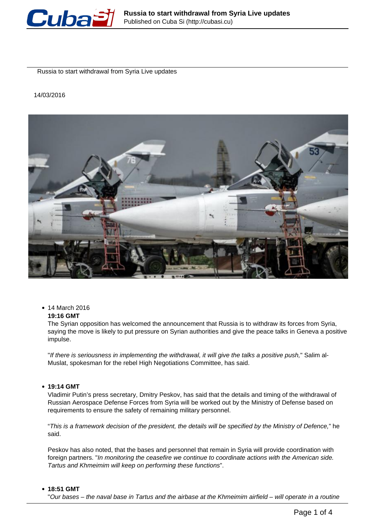

Russia to start withdrawal from Syria Live updates

### 14/03/2016



• 14 March 2016

# **19:16 GMT**

The Syrian opposition has welcomed the announcement that Russia is to withdraw its forces from Syria, saying the move is likely to put pressure on Syrian authorities and give the peace talks in Geneva a positive impulse.

"If there is seriousness in implementing the withdrawal, it will give the talks a positive push," Salim al-Muslat, spokesman for the rebel High Negotiations Committee, has said.

**19:14 GMT**

Vladimir Putin's press secretary, Dmitry Peskov, has said that the details and timing of the withdrawal of Russian Aerospace Defense Forces from Syria will be worked out by the Ministry of Defense based on requirements to ensure the safety of remaining military personnel.

"This is a framework decision of the president, the details will be specified by the Ministry of Defence," he said.

Peskov has also noted, that the bases and personnel that remain in Syria will provide coordination with foreign partners. "In monitoring the ceasefire we continue to coordinate actions with the American side. Tartus and Khmeimim will keep on performing these functions".

### **18:51 GMT**

"Our bases – the naval base in Tartus and the airbase at the Khmeimim airfield – will operate in a routine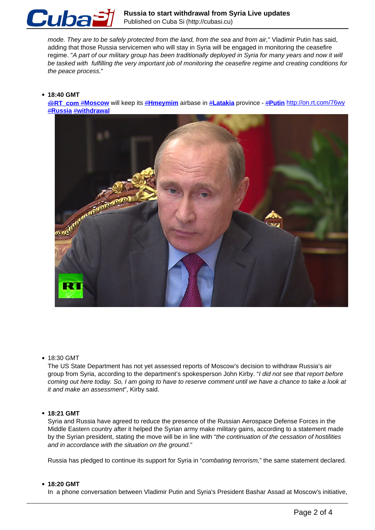

mode. They are to be safely protected from the land, from the sea and from air," Vladimir Putin has said, adding that those Russia servicemen who will stay in Syria will be engaged in monitoring the ceasefire regime. "A part of our military group has been traditionally deployed in Syria for many years and now it will be tasked with fulfilling the very important job of monitoring the ceasefire regime and creating conditions for the peace process."

### **18:40 GMT**

[@](https://twitter.com/RT_com)**[RT\\_com](https://twitter.com/RT_com)** #**Moscow** will keep its #**Hmeymim** airbase in #**Latakia** province - #**Putin** http://on.rt.com/76wy #**Russia** #**withdrawal**



• 18:30 GMT

The US State Department has not yet assessed reports of Moscow's decision to withdraw Russia's air group from Syria, according to the department's spokesperson John Kirby. "I did not see that report before coming out here today. So, I am going to have to reserve comment until we have a chance to take a look at it and make an assessment", Kirby said.

### **18:21 GMT**

Syria and Russia have agreed to reduce the presence of the Russian Aerospace Defense Forces in the Middle Eastern country after it helped the Syrian army make military gains, according to a statement made by the Syrian president, stating the move will be in line with "the continuation of the cessation of hostilities and in accordance with the situation on the ground."

Russia has pledged to continue its support for Syria in "combating terrorism," the same statement declared.

#### **18:20 GMT**

In a phone conversation between Vladimir Putin and Syria's President Bashar Assad at Moscow's initiative,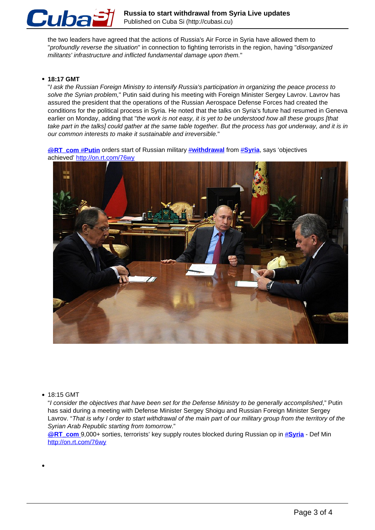

the two leaders have agreed that the actions of Russia's Air Force in Syria have allowed them to "profoundly reverse the situation" in connection to fighting terrorists in the region, having "disorganized militants' infrastructure and inflicted fundamental damage upon them."

# **18:17 GMT**

"I ask the Russian Foreign Ministry to intensify Russia's participation in organizing the peace process to solve the Syrian problem," Putin said during his meeting with Foreign Minister Sergey Lavrov. Lavrov has assured the president that the operations of the Russian Aerospace Defense Forces had created the conditions for the political process in Syria. He noted that the talks on Syria's future had resumed in Geneva earlier on Monday, adding that "the work is not easy, it is yet to be understood how all these groups [that take part in the talks] could gather at the same table together. But the process has got underway, and it is in our common interests to make it sustainable and irreversible."

**@RT\_com #Putin** orders start of Russian military **#withdrawal** from #Syria, says 'objectives achieved' http://on.rt.com/76wy



### • 18:15 GMT

"I consider the objectives that have been set for the Defense Ministry to be generally accomplished," Putin has said during a meeting with Defense Minister Sergey Shoigu and Russian Foreign Minister Sergey Lavrov. "That is why I order to start withdrawal of the main part of our military group from the territory of the Syrian Arab Republic starting from tomorrow."

@**RT\_com** 9,000+ sorties, terrorists' key supply routes blocked during Russian op in #**Syria** - Def Min http://on.rt.com/76wy